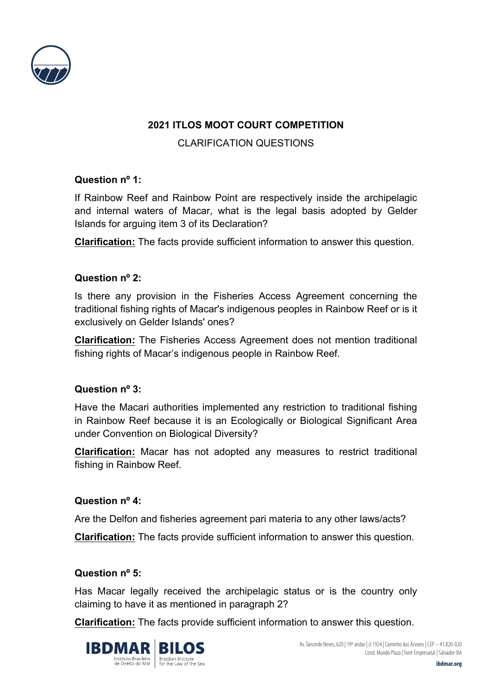

# **2021 ITLOS MOOT COURT COMPETITION**

## CLARIFICATION QUESTIONS

## **Question nº 1:**

If Rainbow Reef and Rainbow Point are respectively inside the archipelagic and internal waters of Macar, what is the legal basis adopted by Gelder Islands for arguing item 3 of its Declaration?

**Clarification:** The facts provide sufficient information to answer this question.

## **Question nº 2:**

Is there any provision in the Fisheries Access Agreement concerning the traditional fishing rights of Macar's indigenous peoples in Rainbow Reef or is it exclusively on Gelder Islands' ones?

**Clarification:** The Fisheries Access Agreement does not mention traditional fishing rights of Macar's indigenous people in Rainbow Reef.

## **Question nº 3:**

Have the Macari authorities implemented any restriction to traditional fishing in Rainbow Reef because it is an Ecologically or Biological Significant Area under Convention on Biological Diversity?

**Clarification:** Macar has not adopted any measures to restrict traditional fishing in Rainbow Reef.

## **Question nº 4:**

Are the Delfon and fisheries agreement pari materia to any other laws/acts?

**Clarification:** The facts provide sufficient information to answer this question.

## **Question nº 5:**

Has Macar legally received the archipelagic status or is the country only claiming to have it as mentioned in paragraph 2?

**Clarification:** The facts provide sufficient information to answer this question.



Av. Tancredo Neves, 620 | 19º andar | sl 1924 | Caminho das Árvores | CEP – 41.820-020 Cond. Mundo Plaza | Torre Empresarial | Salvador-BA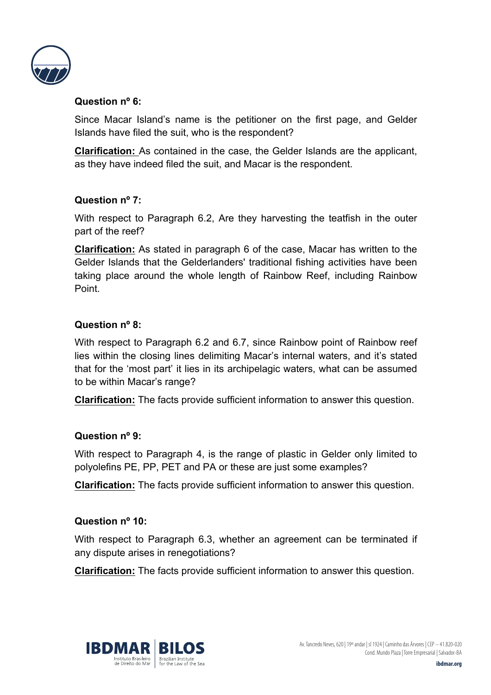

## **Question nº 6:**

Since Macar Island's name is the petitioner on the first page, and Gelder Islands have filed the suit, who is the respondent?

**Clarification:** As contained in the case, the Gelder Islands are the applicant, as they have indeed filed the suit, and Macar is the respondent.

# **Question nº 7:**

With respect to Paragraph 6.2, Are they harvesting the teatfish in the outer part of the reef?

**Clarification:** As stated in paragraph 6 of the case, Macar has written to the Gelder Islands that the Gelderlanders' traditional fishing activities have been taking place around the whole length of Rainbow Reef, including Rainbow Point.

## **Question nº 8:**

With respect to Paragraph 6.2 and 6.7, since Rainbow point of Rainbow reef lies within the closing lines delimiting Macar's internal waters, and it's stated that for the 'most part' it lies in its archipelagic waters, what can be assumed to be within Macar's range?

**Clarification:** The facts provide sufficient information to answer this question.

## **Question nº 9:**

With respect to Paragraph 4, is the range of plastic in Gelder only limited to polyolefins PE, PP, PET and PA or these are just some examples?

**Clarification:** The facts provide sufficient information to answer this question.

## **Question nº 10:**

With respect to Paragraph 6.3, whether an agreement can be terminated if any dispute arises in renegotiations?

**Clarification:** The facts provide sufficient information to answer this question.

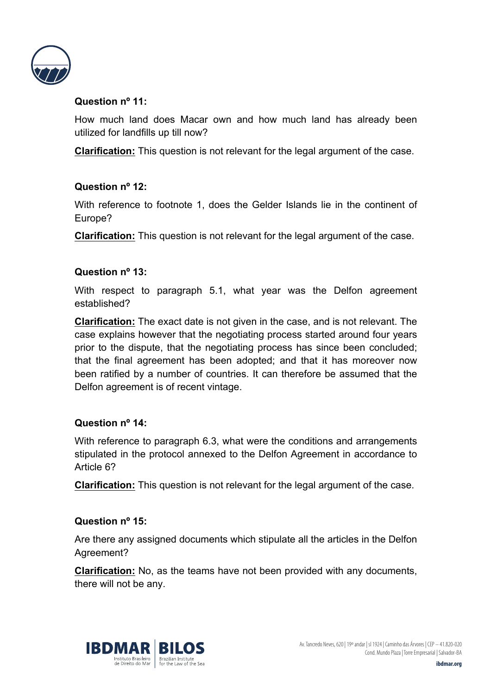

## **Question nº 11:**

How much land does Macar own and how much land has already been utilized for landfills up till now?

**Clarification:** This question is not relevant for the legal argument of the case.

## **Question nº 12:**

With reference to footnote 1, does the Gelder Islands lie in the continent of Europe?

**Clarification:** This question is not relevant for the legal argument of the case.

## **Question nº 13:**

With respect to paragraph 5.1, what year was the Delfon agreement established?

**Clarification:** The exact date is not given in the case, and is not relevant. The case explains however that the negotiating process started around four years prior to the dispute, that the negotiating process has since been concluded; that the final agreement has been adopted; and that it has moreover now been ratified by a number of countries. It can therefore be assumed that the Delfon agreement is of recent vintage.

## **Question nº 14:**

With reference to paragraph 6.3, what were the conditions and arrangements stipulated in the protocol annexed to the Delfon Agreement in accordance to Article 6?

**Clarification:** This question is not relevant for the legal argument of the case.

## **Question nº 15:**

Are there any assigned documents which stipulate all the articles in the Delfon Agreement?

**Clarification:** No, as the teams have not been provided with any documents, there will not be any.



Av. Tancredo Neves, 620 | 19º andar | sl 1924 | Caminho das Árvores | CEP – 41.820-020 Cond. Mundo Plaza | Torre Empresarial | Salvador-BA